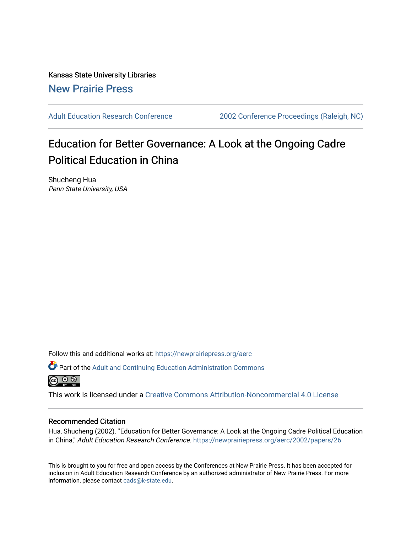Kansas State University Libraries [New Prairie Press](https://newprairiepress.org/) 

[Adult Education Research Conference](https://newprairiepress.org/aerc) [2002 Conference Proceedings \(Raleigh, NC\)](https://newprairiepress.org/aerc/2002) 

# Education for Better Governance: A Look at the Ongoing Cadre Political Education in China

Shucheng Hua Penn State University, USA

Follow this and additional works at: [https://newprairiepress.org/aerc](https://newprairiepress.org/aerc?utm_source=newprairiepress.org%2Faerc%2F2002%2Fpapers%2F26&utm_medium=PDF&utm_campaign=PDFCoverPages)

Part of the [Adult and Continuing Education Administration Commons](http://network.bepress.com/hgg/discipline/789?utm_source=newprairiepress.org%2Faerc%2F2002%2Fpapers%2F26&utm_medium=PDF&utm_campaign=PDFCoverPages) <u>ெ ெ ⊜</u>

This work is licensed under a [Creative Commons Attribution-Noncommercial 4.0 License](https://creativecommons.org/licenses/by-nc/4.0/)

# Recommended Citation

Hua, Shucheng (2002). "Education for Better Governance: A Look at the Ongoing Cadre Political Education in China," Adult Education Research Conference.<https://newprairiepress.org/aerc/2002/papers/26>

This is brought to you for free and open access by the Conferences at New Prairie Press. It has been accepted for inclusion in Adult Education Research Conference by an authorized administrator of New Prairie Press. For more information, please contact [cads@k-state.edu](mailto:cads@k-state.edu).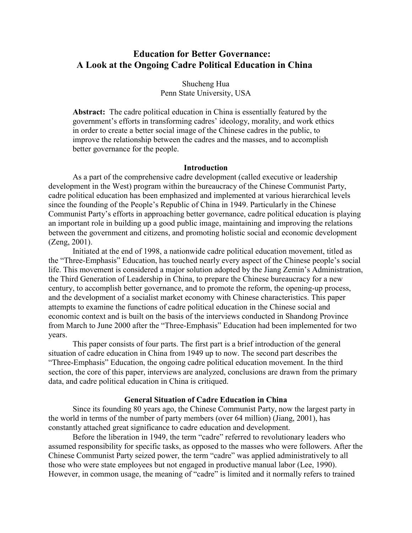# **Education for Better Governance: A Look at the Ongoing Cadre Political Education in China**

Shucheng Hua Penn State University, USA

**Abstract:** The cadre political education in China is essentially featured by the government's efforts in transforming cadres' ideology, morality, and work ethics in order to create a better social image of the Chinese cadres in the public, to improve the relationship between the cadres and the masses, and to accomplish better governance for the people.

# **Introduction**

As a part of the comprehensive cadre development (called executive or leadership development in the West) program within the bureaucracy of the Chinese Communist Party, cadre political education has been emphasized and implemented at various hierarchical levels since the founding of the People's Republic of China in 1949. Particularly in the Chinese Communist Party's efforts in approaching better governance, cadre political education is playing an important role in building up a good public image, maintaining and improving the relations between the government and citizens, and promoting holistic social and economic development (Zeng, 2001).

Initiated at the end of 1998, a nationwide cadre political education movement, titled as the "Three-Emphasis" Education, has touched nearly every aspect of the Chinese people's social life. This movement is considered a major solution adopted by the Jiang Zemin's Administration, the Third Generation of Leadership in China, to prepare the Chinese bureaucracy for a new century, to accomplish better governance, and to promote the reform, the opening-up process, and the development of a socialist market economy with Chinese characteristics. This paper attempts to examine the functions of cadre political education in the Chinese social and economic context and is built on the basis of the interviews conducted in Shandong Province from March to June 2000 after the "Three-Emphasis" Education had been implemented for two years.

This paper consists of four parts. The first part is a brief introduction of the general situation of cadre education in China from 1949 up to now. The second part describes the "Three-Emphasis" Education, the ongoing cadre political education movement. In the third section, the core of this paper, interviews are analyzed, conclusions are drawn from the primary data, and cadre political education in China is critiqued.

#### **General Situation of Cadre Education in China**

Since its founding 80 years ago, the Chinese Communist Party, now the largest party in the world in terms of the number of party members (over 64 million) (Jiang, 2001), has constantly attached great significance to cadre education and development.

Before the liberation in 1949, the term "cadre" referred to revolutionary leaders who assumed responsibility for specific tasks, as opposed to the masses who were followers. After the Chinese Communist Party seized power, the term "cadre" was applied administratively to all those who were state employees but not engaged in productive manual labor (Lee, 1990). However, in common usage, the meaning of "cadre" is limited and it normally refers to trained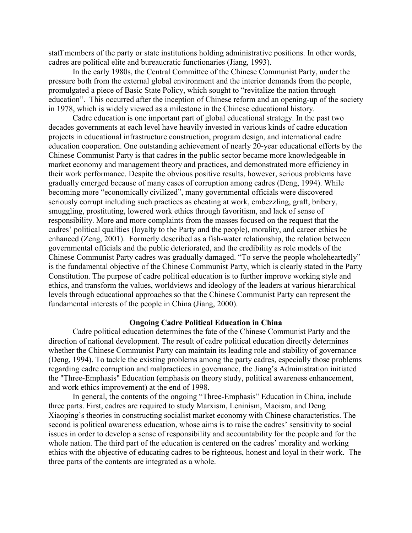staff members of the party or state institutions holding administrative positions. In other words, cadres are political elite and bureaucratic functionaries (Jiang, 1993).

In the early 1980s, the Central Committee of the Chinese Communist Party, under the pressure both from the external global environment and the interior demands from the people, promulgated a piece of Basic State Policy, which sought to "revitalize the nation through education". This occurred after the inception of Chinese reform and an opening-up of the society in 1978, which is widely viewed as a milestone in the Chinese educational history.

 Cadre education is one important part of global educational strategy. In the past two decades governments at each level have heavily invested in various kinds of cadre education projects in educational infrastructure construction, program design, and international cadre education cooperation. One outstanding achievement of nearly 20-year educational efforts by the Chinese Communist Party is that cadres in the public sector became more knowledgeable in market economy and management theory and practices, and demonstrated more efficiency in their work performance. Despite the obvious positive results, however, serious problems have gradually emerged because of many cases of corruption among cadres (Deng, 1994). While becoming more "economically civilized", many governmental officials were discovered seriously corrupt including such practices as cheating at work, embezzling, graft, bribery, smuggling, prostituting, lowered work ethics through favoritism, and lack of sense of responsibility. More and more complaints from the masses focused on the request that the cadres' political qualities (loyalty to the Party and the people), morality, and career ethics be enhanced (Zeng, 2001). Formerly described as a fish-water relationship, the relation between governmental officials and the public deteriorated, and the credibility as role models of the Chinese Communist Party cadres was gradually damaged. "To serve the people wholeheartedly" is the fundamental objective of the Chinese Communist Party, which is clearly stated in the Party Constitution. The purpose of cadre political education is to further improve working style and ethics, and transform the values, worldviews and ideology of the leaders at various hierarchical levels through educational approaches so that the Chinese Communist Party can represent the fundamental interests of the people in China (Jiang, 2000).

# **Ongoing Cadre Political Education in China**

Cadre political education determines the fate of the Chinese Communist Party and the direction of national development. The result of cadre political education directly determines whether the Chinese Communist Party can maintain its leading role and stability of governance (Deng, 1994). To tackle the existing problems among the party cadres, especially those problems regarding cadre corruption and malpractices in governance, the Jiang's Administration initiated the "Three-Emphasis" Education (emphasis on theory study, political awareness enhancement, and work ethics improvement) at the end of 1998.

 In general, the contents of the ongoing "Three-Emphasis" Education in China, include three parts. First, cadres are required to study Marxism, Leninism, Maoism, and Deng Xiaoping's theories in constructing socialist market economy with Chinese characteristics. The second is political awareness education, whose aims is to raise the cadres' sensitivity to social issues in order to develop a sense of responsibility and accountability for the people and for the whole nation. The third part of the education is centered on the cadres' morality and working ethics with the objective of educating cadres to be righteous, honest and loyal in their work. The three parts of the contents are integrated as a whole.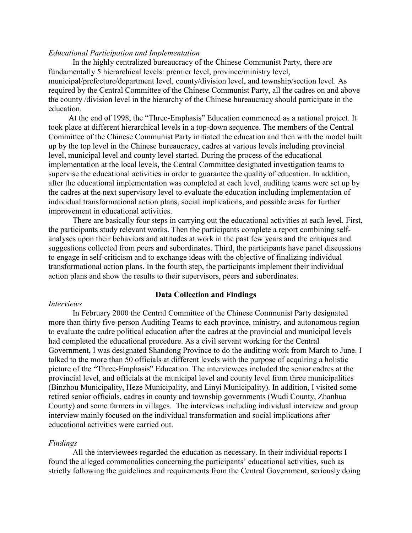# *Educational Participation and Implementation*

In the highly centralized bureaucracy of the Chinese Communist Party, there are fundamentally 5 hierarchical levels: premier level, province/ministry level, municipal/prefecture/department level, county/division level, and township/section level. As required by the Central Committee of the Chinese Communist Party, all the cadres on and above the county /division level in the hierarchy of the Chinese bureaucracy should participate in the education.

 At the end of 1998, the "Three-Emphasis" Education commenced as a national project. It took place at different hierarchical levels in a top-down sequence. The members of the Central Committee of the Chinese Communist Party initiated the education and then with the model built up by the top level in the Chinese bureaucracy, cadres at various levels including provincial level, municipal level and county level started. During the process of the educational implementation at the local levels, the Central Committee designated investigation teams to supervise the educational activities in order to guarantee the quality of education. In addition, after the educational implementation was completed at each level, auditing teams were set up by the cadres at the next supervisory level to evaluate the education including implementation of individual transformational action plans, social implications, and possible areas for further improvement in educational activities.

There are basically four steps in carrying out the educational activities at each level. First, the participants study relevant works. Then the participants complete a report combining selfanalyses upon their behaviors and attitudes at work in the past few years and the critiques and suggestions collected from peers and subordinates. Third, the participants have panel discussions to engage in self-criticism and to exchange ideas with the objective of finalizing individual transformational action plans. In the fourth step, the participants implement their individual action plans and show the results to their supervisors, peers and subordinates.

# **Data Collection and Findings**

# *Interviews*

In February 2000 the Central Committee of the Chinese Communist Party designated more than thirty five-person Auditing Teams to each province, ministry, and autonomous region to evaluate the cadre political education after the cadres at the provincial and municipal levels had completed the educational procedure. As a civil servant working for the Central Government, I was designated Shandong Province to do the auditing work from March to June. I talked to the more than 50 officials at different levels with the purpose of acquiring a holistic picture of the "Three-Emphasis" Education. The interviewees included the senior cadres at the provincial level, and officials at the municipal level and county level from three municipalities (Binzhou Municipality, Heze Municipality, and Linyi Municipality). In addition, I visited some retired senior officials, cadres in county and township governments (Wudi County, Zhanhua County) and some farmers in villages. The interviews including individual interview and group interview mainly focused on the individual transformation and social implications after educational activities were carried out.

#### *Findings*

All the interviewees regarded the education as necessary. In their individual reports I found the alleged commonalities concerning the participants' educational activities, such as strictly following the guidelines and requirements from the Central Government, seriously doing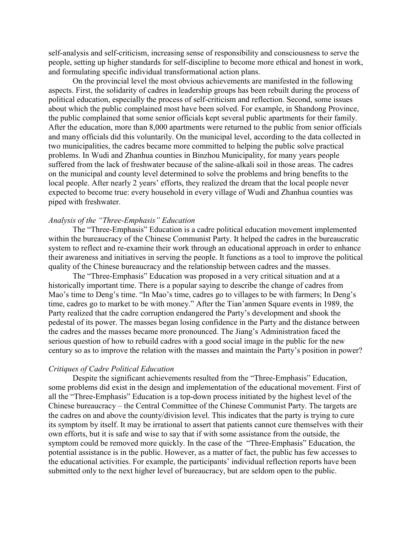self-analysis and self-criticism, increasing sense of responsibility and consciousness to serve the people, setting up higher standards for self-discipline to become more ethical and honest in work, and formulating specific individual transformational action plans.

On the provincial level the most obvious achievements are manifested in the following aspects. First, the solidarity of cadres in leadership groups has been rebuilt during the process of political education, especially the process of self-criticism and reflection. Second, some issues about which the public complained most have been solved. For example, in Shandong Province, the public complained that some senior officials kept several public apartments for their family. After the education, more than 8,000 apartments were returned to the public from senior officials and many officials did this voluntarily. On the municipal level, according to the data collected in two municipalities, the cadres became more committed to helping the public solve practical problems. In Wudi and Zhanhua counties in Binzhou Municipality, for many years people suffered from the lack of freshwater because of the saline-alkali soil in those areas. The cadres on the municipal and county level determined to solve the problems and bring benefits to the local people. After nearly 2 years' efforts, they realized the dream that the local people never expected to become true: every household in every village of Wudi and Zhanhua counties was piped with freshwater.

# *Analysis of the "Three-Emphasis" Education*

The "Three-Emphasis" Education is a cadre political education movement implemented within the bureaucracy of the Chinese Communist Party. It helped the cadres in the bureaucratic system to reflect and re-examine their work through an educational approach in order to enhance their awareness and initiatives in serving the people. It functions as a tool to improve the political quality of the Chinese bureaucracy and the relationship between cadres and the masses.

The "Three-Emphasis" Education was proposed in a very critical situation and at a historically important time. There is a popular saying to describe the change of cadres from Mao's time to Deng's time. "In Mao's time, cadres go to villages to be with farmers; In Deng's time, cadres go to market to be with money." After the Tian'anmen Square events in 1989, the Party realized that the cadre corruption endangered the Party's development and shook the pedestal of its power. The masses began losing confidence in the Party and the distance between the cadres and the masses became more pronounced. The Jiang's Administration faced the serious question of how to rebuild cadres with a good social image in the public for the new century so as to improve the relation with the masses and maintain the Party's position in power?

# *Critiques of Cadre Political Education*

Despite the significant achievements resulted from the "Three-Emphasis" Education, some problems did exist in the design and implementation of the educational movement. First of all the "Three-Emphasis" Education is a top-down process initiated by the highest level of the Chinese bureaucracy – the Central Committee of the Chinese Communist Party. The targets are the cadres on and above the county/division level. This indicates that the party is trying to cure its symptom by itself. It may be irrational to assert that patients cannot cure themselves with their own efforts, but it is safe and wise to say that if with some assistance from the outside, the symptom could be removed more quickly. In the case of the "Three-Emphasis" Education, the potential assistance is in the public. However, as a matter of fact, the public has few accesses to the educational activities. For example, the participants' individual reflection reports have been submitted only to the next higher level of bureaucracy, but are seldom open to the public.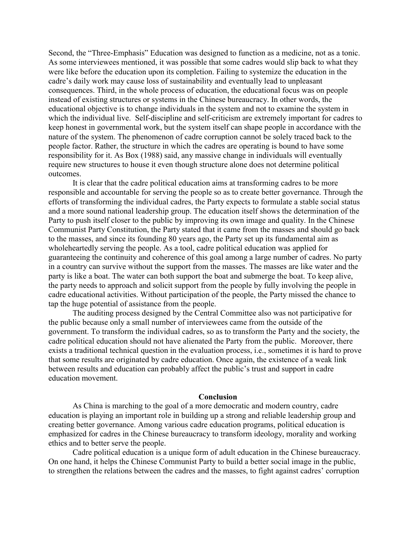Second, the "Three-Emphasis" Education was designed to function as a medicine, not as a tonic. As some interviewees mentioned, it was possible that some cadres would slip back to what they were like before the education upon its completion. Failing to systemize the education in the cadre's daily work may cause loss of sustainability and eventually lead to unpleasant consequences. Third, in the whole process of education, the educational focus was on people instead of existing structures or systems in the Chinese bureaucracy. In other words, the educational objective is to change individuals in the system and not to examine the system in which the individual live. Self-discipline and self-criticism are extremely important for cadres to keep honest in governmental work, but the system itself can shape people in accordance with the nature of the system. The phenomenon of cadre corruption cannot be solely traced back to the people factor. Rather, the structure in which the cadres are operating is bound to have some responsibility for it. As Box (1988) said, any massive change in individuals will eventually require new structures to house it even though structure alone does not determine political outcomes.

It is clear that the cadre political education aims at transforming cadres to be more responsible and accountable for serving the people so as to create better governance. Through the efforts of transforming the individual cadres, the Party expects to formulate a stable social status and a more sound national leadership group. The education itself shows the determination of the Party to push itself closer to the public by improving its own image and quality. In the Chinese Communist Party Constitution, the Party stated that it came from the masses and should go back to the masses, and since its founding 80 years ago, the Party set up its fundamental aim as wholeheartedly serving the people. As a tool, cadre political education was applied for guaranteeing the continuity and coherence of this goal among a large number of cadres. No party in a country can survive without the support from the masses. The masses are like water and the party is like a boat. The water can both support the boat and submerge the boat. To keep alive, the party needs to approach and solicit support from the people by fully involving the people in cadre educational activities. Without participation of the people, the Party missed the chance to tap the huge potential of assistance from the people.

The auditing process designed by the Central Committee also was not participative for the public because only a small number of interviewees came from the outside of the government. To transform the individual cadres, so as to transform the Party and the society, the cadre political education should not have alienated the Party from the public. Moreover, there exists a traditional technical question in the evaluation process, i.e., sometimes it is hard to prove that some results are originated by cadre education. Once again, the existence of a weak link between results and education can probably affect the public's trust and support in cadre education movement.

#### **Conclusion**

As China is marching to the goal of a more democratic and modern country, cadre education is playing an important role in building up a strong and reliable leadership group and creating better governance. Among various cadre education programs, political education is emphasized for cadres in the Chinese bureaucracy to transform ideology, morality and working ethics and to better serve the people.

Cadre political education is a unique form of adult education in the Chinese bureaucracy. On one hand, it helps the Chinese Communist Party to build a better social image in the public, to strengthen the relations between the cadres and the masses, to fight against cadres' corruption